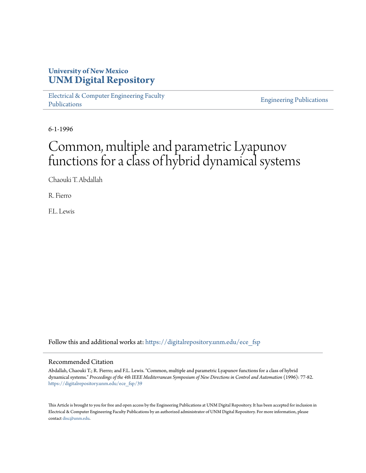# **University of New Mexico [UNM Digital Repository](https://digitalrepository.unm.edu?utm_source=digitalrepository.unm.edu%2Fece_fsp%2F39&utm_medium=PDF&utm_campaign=PDFCoverPages)**

[Electrical & Computer Engineering Faculty](https://digitalrepository.unm.edu/ece_fsp?utm_source=digitalrepository.unm.edu%2Fece_fsp%2F39&utm_medium=PDF&utm_campaign=PDFCoverPages) [Publications](https://digitalrepository.unm.edu/ece_fsp?utm_source=digitalrepository.unm.edu%2Fece_fsp%2F39&utm_medium=PDF&utm_campaign=PDFCoverPages)

[Engineering Publications](https://digitalrepository.unm.edu/eng_fsp?utm_source=digitalrepository.unm.edu%2Fece_fsp%2F39&utm_medium=PDF&utm_campaign=PDFCoverPages)

6-1-1996

# Common, multiple and parametric Lyapunov functions for a class of hybrid dynamical systems

Chaouki T. Abdallah

R. Fierro

F.L. Lewis

Follow this and additional works at: [https://digitalrepository.unm.edu/ece\\_fsp](https://digitalrepository.unm.edu/ece_fsp?utm_source=digitalrepository.unm.edu%2Fece_fsp%2F39&utm_medium=PDF&utm_campaign=PDFCoverPages)

#### Recommended Citation

Abdallah, Chaouki T.; R. Fierro; and F.L. Lewis. "Common, multiple and parametric Lyapunov functions for a class of hybrid dynamical systems." *Proceedings of the 4th IEEE Mediterranean Symposium of New Directions in Control and Automation* (1996): 77-82. [https://digitalrepository.unm.edu/ece\\_fsp/39](https://digitalrepository.unm.edu/ece_fsp/39?utm_source=digitalrepository.unm.edu%2Fece_fsp%2F39&utm_medium=PDF&utm_campaign=PDFCoverPages)

This Article is brought to you for free and open access by the Engineering Publications at UNM Digital Repository. It has been accepted for inclusion in Electrical & Computer Engineering Faculty Publications by an authorized administrator of UNM Digital Repository. For more information, please contact [disc@unm.edu.](mailto:disc@unm.edu)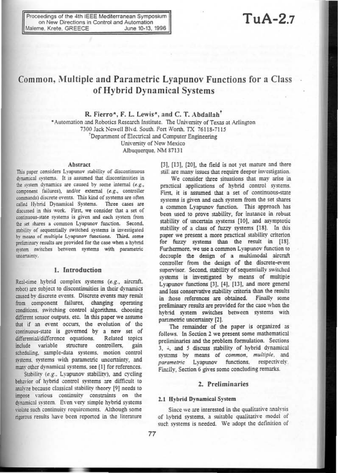Proceedings of the 4th IEEE Mediterranean Symposium on New Directions in Control and Automation Maleme, Krete, GREECE June 10-13, 1996

# $TuA-2.7$

# Common, Multiple and Parametric Lyapunov Functions for a Class of Hybrid Dynamical Systems

R. Fierro\*, F. L. Lewis\*, and C. T. Abdallah<sup>†</sup> \*Automation and Robotics Research Institute. The University of Texas at Arlington 7300 Jack Newell Blvd. South. Fort Worth. TX 76118-7115 Department of Electrical and Computer Engineering University of New Mexico Albuquerque, NM 87131

#### Abstract

This paper considers Lyapunov stability of discontinuous dynamical systems. It is assumed that discontinuities in the system dynamics are caused by some internal (e.g., component failures), and/or external (e.g., controller commands) discrete events. This kind of systems are often called Hybrid Dynamical Systems. Three cases are discussed in this work. First, we consider that a set of continuous-state systems is given and each system from the set shares a common Lyapunov function. Second, stability of sequentially switched systems is investigated by means of multiple Lyapunov functions. Third. some preliminary results are provided for the case when a hybrid system switches between systems with parametric uncertainty.

#### 1. Introduction

Real-time hybrid complex systems (e.g., aircraft, robot) are subject to discontinuities in their dynamics caused by discrete events. Discrete events may result from component failures, changing operating conditions, switching control algorithms, choosing different sensor outputs, etc. In this paper we assume that if an event occurs, the evolution of the continuous-state is governed by a new set of differential/difference equations. Related topics variable structure controllers. include gain scheduling, sample-data systems, motion control systems, systems with parametric uncertainty, and many other dynamical systems, see [1] for references.

Stability (e.g., Lvapunov stability), and cycling behavior of hybrid control systems are difficult to analyze because classical stability theory [9] needs to impose various continuity constraints on the dynamical system. Even very simple hybrid systems violate such continuity requirements. Although some rigorous results have been reported in the literature

[3], [13], [20], the field is not yet mature and there still are many issues that require deeper investigation.

We consider three situations that may arise in practical applications of hybrid control systems. First, it is assumed that a set of continuous-state systems is given and each system from the set shares a common Lyapunov function. This approach has been used to prove stability, for instance in robust stability of uncertain systems [10], and asymptotic stability of a class of fuzzy systems [18]. In this paper we present a more practical stability criterion for fuzzy systems than the result in [18]. Furthermore, we use a common Lyapunov function to decouple the design of a multimodal aircraft controller from the design of the discrete-event supervisor. Second, stability of sequentially switched systems is investigated by means of multiple Lyapunov functions [3], [4], [13], and more general and less conservative stability criteria than the results in those references are obtained. Finally some preliminary results are provided for the case when the hybrid system switches between systems with parametric uncertainty [2].

The remainder of the paper is organized as follows. In Section 2 we present some mathematical preliminaries and the problem formulation. Sections 3. 4, and 5 discuss stability of hybrid dynamical systems by means of common, multiple, and parametric Lyapunov functions, respectively. Finally, Section 6 gives some concluding remarks.

### 2. Preliminaries

#### 2.1 Hybrid Dynamical System

Since we are interested in the qualitative analysis of hybrid systems, a suitable qualitative model of such systems is needed. We adopt the definition of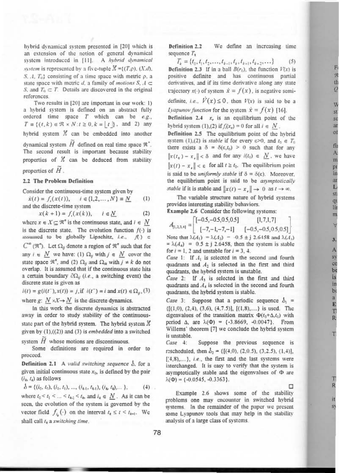hybrid dynamical system presented in [20] which is an extension of the notion of general dynamical system introduced in [11]. A hybrid dynamical system is represented by a five-tuple  $\mathcal{X} = \{(T, \rho), (X, d),\}$ S. A.  $T_0$  consisting of a time space with metric  $\rho$ , a state space with metric d, a family of *motions S*,  $A \subseteq$ S, and  $T_0 \subset T$ . Details are discovered in the original references.

Two results in [20] are important in our work: 1) a hybrid system is defined on an abstract fully ordered time space  $T$  which can be  $e.g.,$  $T \equiv \{(t, k) \in \Re \times N : t \ge 0, k = |t| \}$ , and 2) any hybrid system  $X$  can be embedded into another dynamical system  $H$  defined on real time space  $\Re^*$ . The second result is important because stability properties of  $K$  can be deduced from stability properties of  $\widetilde{H}$ .

#### 2.2 The Problem Definition

Consider the continuous-time system given by

 $\dot{x}(t) = f_i(x(t)), \quad i \in \{1, 2, ..., N\} \equiv \underline{N}$  $(1)$ and the discrete-time system

> $x(k+1) = f_i(x(k)), \quad i \in \mathbb{N}$  $(2)$

where  $x \in X \subseteq \mathbb{R}^n$  is the continuous state, and  $i \in N$ is the discrete state. The evolution function  $f(\cdot)$  is assumed to be globally Lipschitz, i.e.,  $f() \subset$  $C^{\infty}$  ( $\mathfrak{R}^{n}$ ). Let  $\Omega_{ij}$  denote a region of  $\mathfrak{R}^{n}$  such that for any  $i \in \underline{N}$  we have: (1)  $\Omega_{ij}$  with  $j \in \underline{N}$  cover the state space  $\mathfrak{R}^n$ , and (2)  $\Omega_{ij}$  and  $\Omega_{ik}$  with  $j \neq k$  do not overlap. It is assumed that if the continuous state hits a certain boundary  $\partial\Omega_{ij}$  (*i.e.*, a switching event) the discrete state is given as

 $i(t) = g(i(t^{-}), x(t)) = j$ , if  $i(t^{-}) = i$  and  $x(t) \in \Omega_{ij}$ , (3)

where g:  $N \times X \rightarrow N$  is the discrete dynamics.

In this work the discrete dynamics is abstracted away in order to study stability of the continuousstate part of the hybrid system. The hybrid system  $X$ given by  $(1)$ , $((2))$  and  $(3)$  is *embedded* into a switched system  $H$  whose motions are discontinuous.

Some definitions are required in order to proceed.

Definition 2.1 A valid switching sequence  $\delta$ , for a given initial continuous state  $x_0$ , is defined by the pair  $(i_k, i_k)$  as follows

$$
\delta = \{ (i_0, t_0), (i_1, t_1), ..., (i_{k+1}, t_{k+1}), (i_k, t_k), \ldots \}, \tag{4}
$$

where  $t_0 < t_1 < ... < t_{k-1} < t_k$  and  $i_k \in N$ . As it can be seen, the evolution of the system is governed by the vector field  $f_{i_k}(\cdot)$  on the interval  $t_k \leq t \leq t_{k+1}$ . We shall call  $t_k$  a switching time.

**Definition 2.2** We define an increasing time sequence  $T_k$ 

F

 $\overline{\mathbf{s}}$ 

ä ö

fi

n

p.

ir

Ħ

3.

A

85

 $<sup>o</sup>$ </sup>

b

is

in

 $b$ 

 $\overline{a}$ 

E

г

R

T

R

it

53

 $T_k = \{t_0, t_1, t_2, \ldots, t_{k-1}, t_k, t_{k+1}, t_{k+2}, \ldots\}$  $(5)$ **Definition 2.3** If in a ball  $B(r_0)$ , the function  $V(x)$  is positive definite and has continuous partial derivatives, and if its time derivative along any state trajectory  $x(\cdot)$  of system  $\dot{x} = f(x)$ , is negative semidefinite, i.e.,  $V(x) \le 0$ , then  $V(x)$  is said to be a *Lyapunov function* for the system  $\dot{x} = f(x)$  [16]. Definition 2.4  $x<sub>e</sub>$  is an equilibrium point of the hybrid system (1),(2) if  $f_i(x_e) = 0$  for all  $i \in N$ . Definition 2.5 The equilibrium point of the hybrid system (1),(2) is *stable* if for every  $\varepsilon > 0$ , and  $t_0 \in T_0$ there exists a  $\delta = \delta(\varepsilon, t_0) > 0$  such that for any  $||x(t_0) - x_{\epsilon}|| < \delta$  and for any  $i(t_0) \in \underline{N}$ , we have  $||x(t) - x_{\star}|| < \varepsilon$  for all  $t \ge t_0$ . The equilibrium point is said to be *uniformly stable* if  $\delta = \delta(\epsilon)$ . Moreover, the equilibrium point is said to be asymptotically stable if it is stable and  $||x(t) - x_*|| \to 0$  as  $t \to \infty$ .

The variable structure nature of hybrid systems provides interesting stability behaviors.

Example 2.6 Consider the following systems:

 $A_{[1,2,3,4]} = \begin{bmatrix} [-0.5, -0.5, 0.5, 0.5] & [1,7,1,7] \\ [-7, -1, -7, -1] & [-0.5, -0.5, 0.5, 0.5] \end{bmatrix}$ Note that  $\lambda(A_1) = \lambda(A_2) = -0.5 \pm i 2.6458$  and  $\lambda(A_3)$ =  $\lambda(A_4)$  = 0.5 ± j 2.6458, then the system is stable for  $i = 1, 2$  and unstable for  $i = 3, 4$ .

Case 1: If  $A_1$  is selected in the second and fourth quadrants and  $A_2$  is selected in the first and third quadrants, the hybrid system is unstable.

Case 2: If  $A_3$  is selected in the first and third quadrants and  $A_4$  is selected in the second and fourth quadrants, the hybrid system is stable.

Case 3: Suppose that a periodic sequence  $b_1$  =  $\{[(1,0), (2,4), (3,6), (4,7.5)], [(1,8), \ldots] \}$  is used. The eigenvalues of the transition matrix  $\Phi(t_0+\Delta,t_0)$  with period  $\Delta$ , are  $\lambda(\Phi) = \{-3.8669, -0.0047\}$ . From Willems' theorem [7] we conclude the hybrid system is unstable.

Case 4: Suppose the previous sequence is rescheduled, then  $b_2 = \{[(4,0), (2,0.5), (3,2.5), (1,4)],$  $[4,8),...$ }, i.e., the first and the last systems were interchanged. It is easy to verify that the system is asymptotically stable and the eigenvalues of  $\Phi$  are  $\lambda$ ( $\Phi$ ) = {-0.0545, -0.3363}.

Example 2.6 shows some of the stability problems one may encounter in switched hybrid systems. In the remainder of the paper we present some Lyapunov tools that may help in the stability analysis of a large class of systems.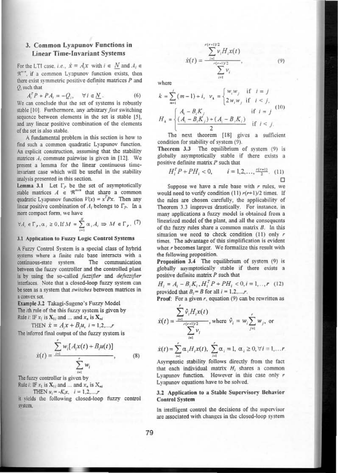## 3. Common Lyapunov Functions in **Linear Time-Invariant Systems**

For the LTI case, *i.e.*,  $\dot{x} = A_i x$  with  $i \in N$  and  $A_i \in$ R<sup>®®</sup>, if a common Lyapunov function exists, then there exist symmetric positive definite matrices  $P$  and  $Q_i$  such that

 $A_i^T P + P A_i = -Q_i, \quad \forall i \in \underline{N}$ .  $(6)$ We can conclude that the set of systems is robustly stable [10]. Furthermore, any arbitrary fast switching sequence between elements in the set is stable [5]. and any linear positive combination of the elements of the set is also stable.

A fundamental problem in this section is how to find such a common quadratic Lyapunov function. An explicit construction, assuming that the stability matrices A<sub>1</sub> commute pairwise is given in [12]. We present a lemma for the linear continuous timeinvariant case which will be useful in the stability analysis presented in this section.

Lemma 3.1 Let  $\Gamma_P$  be the set of asymptotically<br>stable matrices  $A \in \mathcal{R}^{n \times n}$  that share a common quadratic Lyapunov function  $V(x) = x^T P x$ . Then any linear positive combination of  $A_i$  belongs to  $\Gamma_p$ . In a more compact form, we have

$$
\forall A_i \in \Gamma_F, \alpha_i \ge 0, \text{If } M = \sum_{i=1}^N \alpha_i A_i \Rightarrow M \in \Gamma_F, (7)
$$

#### 3.1 Application to Fuzzy Logic Control Systems

A Fuzzy Control System is a special class of hybrid systems where a finite rule base interacts with a continuous-state system. The communication between the fuzzy controller and the controlled plant is by using the so-called fuzzifier and defuzzifier interfaces. Note that a closed-loop fuzzy system can be seen as a system that switches between matrices in a convex set.

Example 3.2 Takagi-Sugeno's Fuzzy Model The ith rule of the this fuzzy system is given by Rule *i*: IF  $x_1$  is  $X_{1i}$  and ... and  $x_n$  is  $X_{ni}$ 

THEN  $\dot{x} = A_i x + B_i u$ ,  $i = 1, 2, ..., r$ 

The inferred final output of the fuzzy system is

$$
\dot{x}(t) = \frac{\sum_{i=1} w_i [A_i x(t) + B_i u(t)]}{\sum_{i=1}^r w_i},
$$
 (8)

The fuzzy controller is given by Rule  $i:$  IF  $x_i$  is  $X_i$ , and and  $x_i$  is  $X_i$ .

**THEN** 
$$
u_i = -K_i x
$$
,  $i = 1, 2, ..., r$ 

it vields the following closed-loop fuzzy control system.

$$
\dot{x}(t) = \frac{\sum_{i=1}^{r(r+1)/2} v_i H_i x(t)}{\sum_{i=1}^{r(r+1)/2} v_i},
$$

 $(9)$ 

r

where

$$
k = \sum_{m=1}^{j} (m-1) + i, \quad v_k = \begin{cases} w_i w_j & \text{if } i = j \\ 2w_i w_j & \text{if } i < j, \end{cases}
$$
  

$$
H_k = \begin{cases} A_i - B_i K_j & \text{if } i = j \\ \frac{(A_i - B_i K_j) + (A_i - B_j K_i)}{2} & \text{if } i < j. \end{cases}
$$

The next theorem [18] gives a sufficient condition for stability of system (9).

Theorem 3.3 The equilibrium of system (9) is globally asymptotically stable if there exists a positive definite matrix  $P$  such that

$$
H_i^T P + PH_i < 0, \qquad i = 1, 2, \dots, \frac{r(r+1)}{2}. \quad (11)
$$

Suppose we have a rule base with  $r$  rules, we would need to verify condition (11)  $r(r+1)/2$  times. If the rules are chosen carefully, the applicability of Theorem 3.3 improves drastically. For instance, in many applications a fuzzy model is obtained from a linearized model of the plant, and all the consequents of the fuzzy rules share a common matrix  $B$ . In this situation we need to check condition  $(11)$  only  $r$ times. The advantage of this simplification is evident when r becomes larger. We formalize this result with the following proposition.

Proposition 3.4 The equilibrium of system (9) is globally asymptotically stable if there exists a positive definite matrix P such that

$$
H_i = A_i - B_i K_i, H_i^T P + P H_i < 0, i = 1, \dots, r \quad (12)
$$
\nprovided that  $B_i = B$  for all  $i = 1, 2, \dots, r$ .

**Proof:** For a given  $r$ , equation (9) can be rewritten as

$$
\dot{x}(t) = \frac{\sum_{i=1}^{r} \hat{v}_i H_i x(t)}{\sum_{i=1}^{r} v_i}, \text{ where } \hat{v}_i = w_i \sum_{j=1}^{r} w_j, \text{ or } \sum_{i=1}^{r} v_i
$$

$$
\dot{x}(t) = \sum_{i=1}^{r} \alpha_i H_i x(t), \sum_{i=1}^{r} \alpha_i = 1, \alpha_i \ge 0, \forall i = 1, ...
$$

Asymptotic stability follows directly from the fact that each individual matrix  $H_i$  shares a common Lyapunov function. However in this case only r Lyapunov equations have to be solved.

#### 3.2 Application to a Stable Supervisory Behavior **Control System**

In intelligent control the decisions of the supervisor are associated with changes in the closed-loop system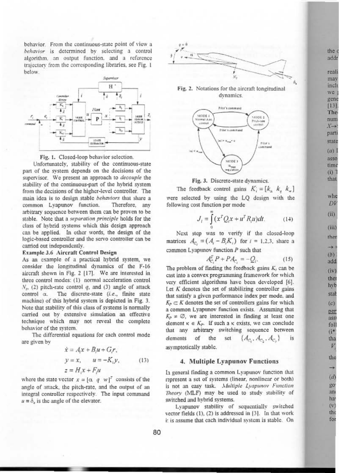behavior. From the continuous-state point of view a behavior is determined by selecting a control algorithm, an output function, and a reference trajectory from the corresponding libraries, see Fig. 1 below.





Unfortunately, stability of the continuous-state part of the system depends on the decisions of the supervisor. We present an approach to decouple the stability of the continuous-part of the hybrid system from the decisions of the higher-level controller. The main idea is to design stable behaviors that share a common Lvapunov function. Therefore, any arbitrary sequence between them can be proven to be stable. Note that a separation principle holds for the class of hybrid systems which this design approach can be applied. In other words, the design of the logic-based controller and the servo controller can be carried out independently.

#### Example 3.6 Aircraft Control Design

As an example of a practical hybrid system, we consider the longitudinal dynamics of the F-16 aircraft shown in Fig. 2 [17]. We are interested in three control modes: (1) normal acceleration control  $N_z$ , (2) pitch-rate control q, and (3) angle of attack The discrete-state (i.e., finite state control a. machine) of this hybrid system is depicted in Fig. 3. Note that stability of this class of systems is normally carried out by extensive simulation an effective technique which may not reveal the complete behavior of the system.

The differential equations for each control mode are given by

$$
\dot{x} = A_i x + B_i u + G_i r,
$$
  
\n
$$
y = x, \qquad u = -K_i y,
$$
  
\n
$$
z = H_i x + F_i u
$$
\n(13)

where the state vector  $x = [\alpha, q, w]^T$  consists of the angle of attack, the pitch-rate, and the output of an integral controller respectively. The input command  $u = \delta$ , is the angle of the elevator.









The feedback control gains  $K_i = [k_a, k_a, k_w]$ were selected by using the LQ design with the following cost function per mode

$$
J_t = \int_0^\infty (x^T Q_t x + u^T R_t u) dt. \tag{14}
$$

Next step was to verify if the closed-loop matrices  $A_{C_i} = (A_i - B_i K_i)$  for  $i = 1, 2, 3$ , share a common Lyapunov function  $P$  such that

$$
l_{C_1}^T P + P A_{C_2} = -Q_i.
$$
 (15)

The problem of finding the feedback gains  $K_i$ , can be cast into a convex programming framework for which very efficient algorithms have been developed [6]. Let  $K$  denotes the set of stabilizing controller gains that satisfy a given performance index per mode, and  $K_P \subset K$  denotes the set of controllers gains for which a common Lyapunov function exists. Assuming that  $K_p \neq \emptyset$ , we are interested in finding at least one element  $\kappa \in K_p$ . If such a  $\kappa$  exists, we can conclude that any arbitrary switching sequence between  $\{A_{c_1}, A_{c_2}, A_{c_3}\}$ elements of the is set asymptotically stable.

#### 4. Multiple Lyapunov Functions

In general finding a common Lyapunov function that represent a set of systems (linear, nonlinear or both) is not an easy task. Multiple Lyapunov Function Theory (MLF) may be used to study stability of switched and hybrid systems.

Lyapunov stability of sequentially switched vector fields (1), (2) is addressed in [3]. In that work it is assume that each individual system is stable. On the add real may incl we

gen  $[13]$ The nun  $X \rightarrow$ part state  $(a)$ asso tim

> who DV

> $(i)$

that

 $(ii)$ 

 $(iii)$ 

ther

 $+1$ 

 $(b)$ 

add

 $(iv)$ ther

hyb

stat  $(c)$ 

per

ass foll  $(i^*$ tha

V the

 $(d)$ 

go an

ha<sup>'</sup>

 $(v)$ 

the for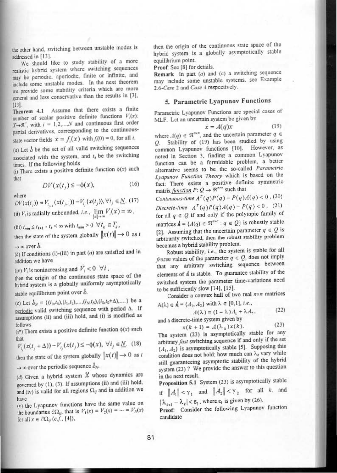the other hand, switching between unstable modes is addressed in [13].

We should like to study stability of a more realistic hybrid system where switching sequences may be periodic, aperiodic, finite or infinite, and include some unstable modes. In the next theorem we provide some stability criteria which are more general and less conservative than the results in [3],  $[13]$ 

Assume that there exists a finite Theorem 4.1 number of scalar positive definite functions  $V(x)$ :  $X \rightarrow \mathbb{R}^+$ , with  $i = 1, 2, \dots, N$  and continuous first order partial derivatives, corresponding to the continuousstate vector fields  $\dot{x} = f_i(x)$  with  $f_i(0) = 0$ , for all i.

(a) Let  $\delta$  be the set of all valid switching sequences associated with the system, and  $t<sub>k</sub>$  be the switching times. If the following holds

(i) There exists a positive definite function  $\phi(x)$  such that

$$
DV(x(t_{\cdot}) \le -\phi(x), \tag{16}
$$

where

 $DV(x(t_j)) = V_{i_{j+1}}(x(t_{j+1})) - V_{i_j}(x(t_j)), \forall i_j \in \underline{N}.$  (17) (ii)  $V_i$  is radially unbounded, *i.e.*,  $\lim_{|x|\to\infty} V_i(x) = \infty$ ,

 $\textnormal{(iii)}\; t_{\min} \leq t_{k+1} \; \text{\textend{equation} \; t_k < \infty \; \text{with} \; t_{\min} \geq 0 \;\; \forall \; t_k \in T_k \, ,$ 

then the state of the system globally  $||x(t)|| \rightarrow 0$  as t

 $\rightarrow \infty$  over  $\delta$ .

(b) If conditions (i)-(iii) in part  $(a)$  are satisfied and in addition we have

(iv)  $V_i$  is nonincreasing and  $\dot{V}_i < 0 \ \forall i$ ,

then the origin of the continuous state space of the hybrid system is a globally uniformly asymptotically stable equilibrium point over b.

(c) Let  $\delta_N = \{(i_0, i_0), (i_1, i_1), ..., (i_N, i_N), (i_0, i_0 + \Delta), ...\}$  be a periodic valid switching sequence with period  $\Delta$ . If assumptions (ii) and (iii) hold, and (i) is modified as follows

(i\*) There exists a positive definite function  $\phi(x)$  such that

$$
V_{i_j}(x(t_j + \Delta)) - V_{i_j}(x(t_j) \le -\phi(x), \ \forall i_j \in \underline{N}.\tag{18}
$$

then the state of the system globally  $||x(t)|| \rightarrow 0$  as t

 $\rightarrow \infty$  over the periodic sequence  $b_N$ .

(d) Given a hybrid system  $X$  whose dynamics are governed by (1), (3). If assumptions (ii) and (iii) hold, and (iv) is valid for all regions  $\Omega_{ij}$  and in addition we have

(v) the Lyapunov functions have the same value on the boundaries  $\partial\Omega_{ij}$ , that is  $V_1(x) = V_2(x) = \dots = V_N(x)$ for all  $x \in \partial \Omega_{ij}$  (c.f., [4]),

then the origin of the continuous state space of the hybrid system is a globally asymptotically stable equilibrium point.

Proof: See [8] for details.

Remark In part  $(a)$  and  $(c)$  a switching sequence may include some unstable systems, see Example 2.6-Case 2 and Case 4 respectively.

## 5. Parametric Lyapunov Functions

Parametric Lyapunov Functions are special cases of MLF. Let an uncertain system be given by

$$
x = A(q)x \tag{19}
$$

where  $A(q) \in \mathbb{R}^{n \times n}$ , and the uncertain parameter  $q \in$ Q. Stability of (19) has been studied by using common Lyapunov functions [10]. However, as noted in Section 3, finding a common Lyapunov function can be a formidable problem, a better alternative seems to be the so-called Parametric Lyapunov Function Theory which is based on the fact: There exists a positive definite symmetric matrix *function*  $P: Q \rightarrow \mathbb{R}^{n \times n}$  such that

Continuous-time  $A^T(q)P(q) + P(q)A(q) < 0$ , (20) Discrete-time  $A^T(q)P(q)A(q) - P(q) < 0$ , (21) for all  $q \in Q$  if and only if the polytopic family of matrices  $A = \{A(q) \in \mathbb{R}^{n \times n} : q \in Q\}$  is robustly stable [2]. Assuming that the uncertain parameter  $q \in Q$  is arbitrarily switched, then the robust stability problem becomes a hybrid stability problem.

Robust stability, i.e., the system is stable for all frozen values of the parameter  $q \in Q$ , does not imply that any arbitrary switching sequence between elements of A is stable. To guarantee stability of the switched system the parameter time-variations need to be sufficiently slow [14], [15].

Consider a convex hull of two real nxn matrices

$$
A(\lambda) \in \mathbf{A} = \{A_1, A_2\} \text{ with } \lambda \in [0, 1], i.e.,
$$
\n
$$
A(\lambda) = (1 - \lambda)A + \lambda A \tag{22}
$$

 $(23)$ 

 $A(\lambda) = (1 - \lambda) A_1 + \lambda A_2$ and a discrete-time system given by

$$
x(k+1) = A(\lambda_k) x(k).
$$

The system (23) is asymptotically stable for any arbitrary fast switching sequence if and only if the set  $\{A_1, A_2\}$  is asymptotically stable [5]. Supposing this condition does not hold; how much can  $\lambda_k$  vary while still guaranteeing asymptotic stability of the hybrid system (23) ? We provide the answer to this question in the next result.

Proposition 5.1 System (23) is asymptotically stable if  $||A_1|| < \gamma_1$  and  $||A_2|| < \gamma_2$  for all k, and

 $|\lambda_{k+1} - \lambda_k| < \varepsilon_1$ , where  $\varepsilon_1$  is given by (26).

Proof: Consider the following Lyapunov function candidate